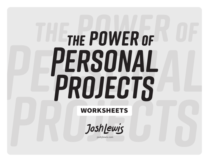# THE POWER OF PERSONAL PROJECTS

#### WORKSHEETS

Joshlewis

joshjlewis.com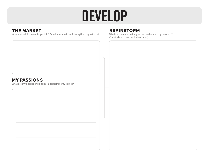## **Develop**

#### **THE MARKET**

What market do I want to get into? Or what market can I strengthen my skills in?

#### **BRAINSTORM**

What can I create that aligns the market and my passions? (Think about it and add ideas later.)

#### **MY PASSIONS**

What are my passions? Hobbies? Entertainment? Topics?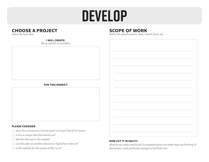## **Develop**

#### **CHOOSE A PROJECT**

Select the best idea.

#### **I WILL CREATE:**

(Be as specific as possible.)

#### **FOR THIS MARKET:**

#### **PLEASE CONSIDER**

- $\bigcirc$  Does this connect on a human level? Is it true? Weird? Or funny?
- $\bigcirc$  Is this a unique idea that stands out?
- $\bigcirc$  Will this feel real in the market?
- $\bigcirc$  Can this take on another physical or digital form later on?
- $\bigcirc$  Is this realistic for the season of life I'm in?

#### **SCOPE OF WORK**

Define the specific pieces, sizes, rounds of art, etc.

#### **NOW CUT IT IN HALF!!!**

What do you really need to do? 5 completed pieces are better than not finishing 10. Remember, crush perfection and get to the finish line.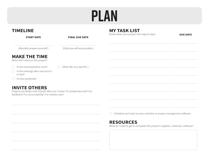# **Plan**

| <b>TIMELINE</b>                                                                                                                                          |                              | <b>MY TASK LIST</b>                         |                 |
|----------------------------------------------------------------------------------------------------------------------------------------------------------|------------------------------|---------------------------------------------|-----------------|
| <b>START DATE</b>                                                                                                                                        | <b>FINAL DUE DATE</b>        | Break down your project into logical steps. | <b>DUE DATE</b> |
| (Mentally prepare yourself.)                                                                                                                             | (Hold yourself accountable.) |                                             |                 |
| <b>MAKE THE TIME</b><br>When will I work on this project?                                                                                                |                              |                                             |                 |
| In the morning before work?<br>In the evenings after everyone is<br>(<br>in bed?<br>On the weekends?                                                     | Other (Be very specific.)    |                                             |                 |
| <b>INVITE OTHERS</b><br>Projects are better with friends! Who can I invite? To collaborate with? For<br>feedback? For accountability? For industry tips? |                              |                                             |                 |

 $\bigcirc$  Schedule each task on your calendar or project management software.

#### **RESOURCES**

What do I need to get to complete this project? Supplies, materials, software?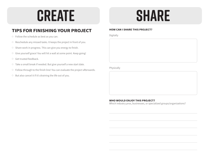### **Create Share**

#### **TIPS FOR FINISHING YOUR PROJECT**

- $\circ$  Follow the schedule as best as you can.
- $\circ$  Reschedule any missed tasks. It keeps the project in front of you.
- $\circ$  Share work in progress. This can give you energy to finish.
- $\circ$  Give yourself grace! You will hit a wall at some point. Keep going!
- Get trusted feedback.
- $\circ$  Take a small break if needed. But give yourself a new start date.
- $\circ$  Follow through to the finish line! You can evaluate the project afterwards.
- $\circ$  But also cancel it if it's draining the life out of you.

#### **HOW CAN I SHARE THIS PROJECT?**

Digitally

Physically

#### **WHO WOULD ENJOY THIS PROJECT?**

Which industry pros, businesses, or specialized groups/organizations?